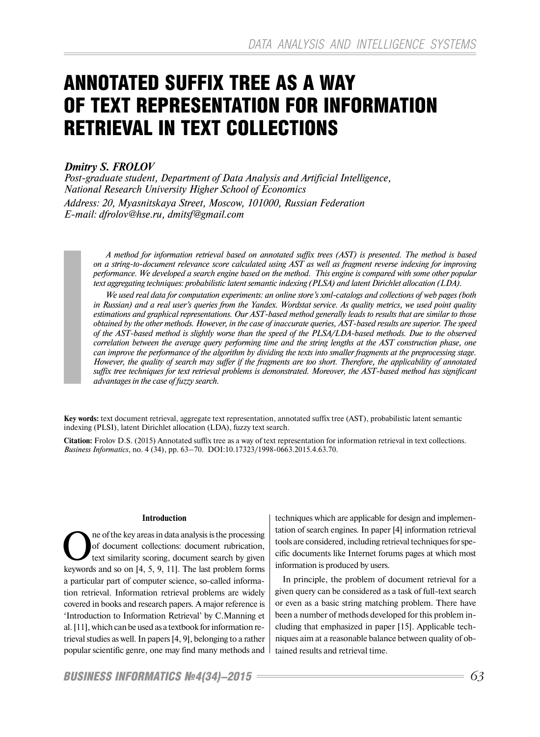# ANNOTATED SUFFIX TREE AS A WAY OF TEXT REPRESENTATION FOR INFORMATION RETRIEVAL IN TEXT COLLECTIONS

# *Dmitry S. FROLOV*

*Post-graduate student, Department of Data Analysis and Artificial Intelligence, National Research University Higher School of Economics Address: 20, Myasnitskaya Street, Moscow, 101000, Russian Federation E-mail: dfrolov@hse.ru, dmitsf@gmail.com*

*A method for information retrieval based on annotated suffix trees (AST) is presented. The method is based on a string-to-document relevance score calculated using AST as well as fragment reverse indexing for improving performance. We developed a search engine based on the method. This engine is compared with some other popular text aggregating techniques: probabilistic latent semantic indexing (PLSA) and latent Dirichlet allocation (LDA).* 

*We used real data for computation experiments: an online store's xml-catalogs and collections of web pages (both in Russian) and a real user's queries from the Yandex. Wordstat service. As quality metrics, we used point quality estimations and graphical representations. Our AST-based method generally leads to results that are similar to those obtained by the other methods. However, in the case of inaccurate queries, AST-based results are superior. The speed of the AST-based method is slightly worse than the speed of the PLSA/LDA-based methods. Due to the observed correlation between the average query performing time and the string lengths at the AST construction phase, one can improve the performance of the algorithm by dividing the texts into smaller fragments at the preprocessing stage. However, the quality of search may suffer if the fragments are too short. Therefore, the applicability of annotated suffix tree techniques for text retrieval problems is demonstrated. Moreover, the AST-based method has significant advantages in the case of fuzzy search.*

**Key words:** text document retrieval, aggregate text representation, annotated suffix tree (AST), probabilistic latent semantic indexing (PLSI), latent Dirichlet allocation (LDA), fuzzy text search.

**Citation:** Frolov D.S. (2015) Annotated suffix tree as a way of text representation for information retrieval in text collections. *Business Informatics*, no. 4 (34), pp. 63–70. DOI:10.17323/1998-0663.2015.4.63.70.

#### **Introduction**

**OREA** the key areas in data analysis is the processing<br>of document collections: document rubrication,<br>text similarity scoring, document search by given of document collections: document rubrication, keywords and so on [4, 5, 9, 11]. The last problem forms a particular part of computer science, so-called information retrieval. Information retrieval problems are widely covered in books and research papers. A major reference is 'Introduction to Information Retrieval' by C.Manning et al. [11], which can be used as a textbook for information retrieval studies as well. In papers [4, 9], belonging to a rather popular scientific genre, one may find many methods and

techniques which are applicable for design and implementation of search engines. In paper [4] information retrieval tools are considered, including retrieval techniques for specific documents like Internet forums pages at which most information is produced by users.

In principle, the problem of document retrieval for a given query can be considered as a task of full-text search or even as a basic string matching problem. There have been a number of methods developed for this problem including that emphasized in paper [15]. Applicable techniques aim at a reasonable balance between quality of obtained results and retrieval time.

*BUSINESS INFORMATICS №4(34)–2015 63*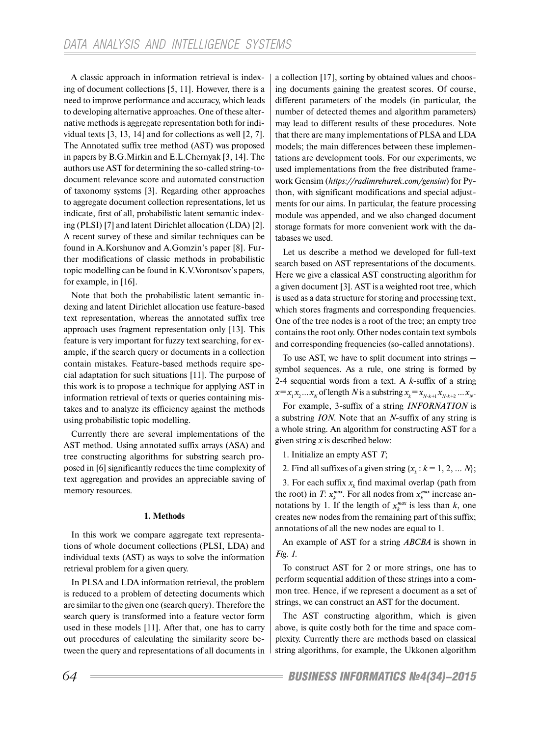A classic approach in information retrieval is indexing of document collections [5, 11]. However, there is a need to improve performance and accuracy, which leads to developing alternative approaches. One of these alternative methods is aggregate representation both for individual texts [3, 13, 14] and for collections as well [2, 7]. The Annotated suffix tree method (AST) was proposed in papers by B.G.Mirkin and E.L.Chernyak [3, 14]. The authors use AST for determining the so-called string-todocument relevance score and automated construction of taxonomy systems [3]. Regarding other approaches to aggregate document collection representations, let us indicate, first of all, probabilistic latent semantic indexing (PLSI) [7] and latent Dirichlet allocation (LDA) [2]. A recent survey of these and similar techniques can be found in A.Korshunov and A.Gomzin's paper [8]. Further modifications of classic methods in probabilistic topic modelling can be found in K.V.Vorontsov's papers, for example, in [16].

Note that both the probabilistic latent semantic indexing and latent Dirichlet allocation use feature-based text representation, whereas the annotated suffix tree approach uses fragment representation only [13]. This feature is very important for fuzzy text searching, for example, if the search query or documents in a collection contain mistakes. Feature-based methods require special adaptation for such situations [11]. The purpose of this work is to propose a technique for applying AST in information retrieval of texts or queries containing mistakes and to analyze its efficiency against the methods using probabilistic topic modelling.

Currently there are several implementations of the AST method. Using annotated suffix arrays (ASA) and tree constructing algorithms for substring search proposed in [6] significantly reduces the time complexity of text aggregation and provides an appreciable saving of memory resources.

## **1. Methods**

In this work we compare aggregate text representations of whole document collections (PLSI, LDA) and individual texts (AST) as ways to solve the information retrieval problem for a given query.

In PLSA and LDA information retrieval, the problem is reduced to a problem of detecting documents which are similar to the given one (search query). Therefore the search query is transformed into a feature vector form used in these models [11]. After that, one has to carry out procedures of calculating the similarity score between the query and representations of all documents in a collection [17], sorting by obtained values and choosing documents gaining the greatest scores. Of course, different parameters of the models (in particular, the number of detected themes and algorithm parameters) may lead to different results of these procedures. Note that there are many implementations of PLSA and LDA models; the main differences between these implementations are development tools. For our experiments, we used implementations from the free distributed framework Gensim (*https://radimrehurek.com/gensim*) for Python, with significant modifications and special adjustments for our aims. In particular, the feature processing module was appended, and we also changed document storage formats for more convenient work with the databases we used.

Let us describe a method we developed for full-text search based on AST representations of the documents. Here we give a classical AST constructing algorithm for a given document [3]. AST is a weighted root tree, which is used as a data structure for storing and processing text, which stores fragments and corresponding frequencies. One of the tree nodes is a root of the tree; an empty tree contains the root only. Other nodes contain text symbols and corresponding frequencies (so-called annotations).

To use AST, we have to split document into strings – symbol sequences. As a rule, one string is formed by 2-4 sequential words from a text. A *k*-suffix of a string  $x = x_1 x_2 ... x_N$  of length *N* is a substring  $x_k = x_{N-k+1} x_{N-k+2} ... x_N$ .

For example, 3-suffix of a string *INFORNATION* is a substring *ION*. Note that an *N*-suffix of any string is a whole string. An algorithm for constructing AST for a given string *x* is described below:

1. Initialize an empty AST *T*;

2. Find all suffixes of a given string  $\{x_k : k = 1, 2, \dots N\}$ ;

3. For each suffix  $x_k$  find maximal overlap (path from the root) in *T*:  $x_k^{max}$ . For all nodes from  $x_k^{max}$  increase annotations by 1. If the length of  $x_k^{max}$  is less than *k*, one creates new nodes from the remaining part of this suffix; annotations of all the new nodes are equal to 1.

An example of AST for a string *ABCBA* is shown in *Fig. 1*.

To construct AST for 2 or more strings, one has to perform sequential addition of these strings into a common tree. Hence, if we represent a document as a set of strings, we can construct an AST for the document.

The AST constructing algorithm, which is given above, is quite costly both for the time and space complexity. Currently there are methods based on classical string algorithms, for example, the Ukkonen algorithm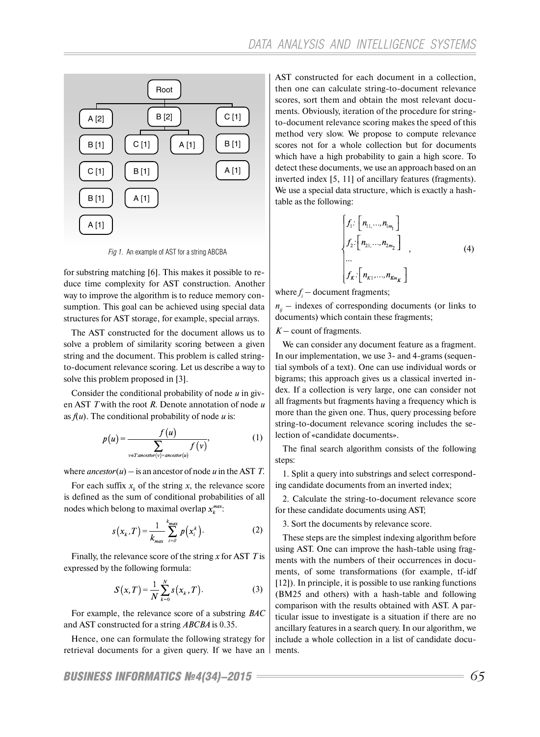

*Fig 1.* An example of AST for a string АВСВА

for substring matching [6]. This makes it possible to reduce time complexity for AST construction. Another way to improve the algorithm is to reduce memory consumption. This goal can be achieved using special data structures for AST storage, for example, special arrays.

The AST constructed for the document allows us to solve a problem of similarity scoring between a given string and the document. This problem is called stringto-document relevance scoring. Let us describe a way to solve this problem proposed in [3].

Consider the conditional probability of node *u* in given AST *T* with the root *R*. Denote annotation of node *u* as  $f(u)$ . The conditional probability of node *u* is:

$$
p(u) = \frac{f(u)}{\sum_{v \in T:ancestor(v) = ancestor(u)} f(v)},
$$
\n(1)

where  $\text{ancestor}(u) - \text{is an ancestor of node } u$  in the AST *T*.

For each suffix  $x_k$  of the string  $x$ , the relevance score is defined as the sum of conditional probabilities of all nodes which belong to maximal overlap  $x_k^{max}$ :

$$
s(x_k,T) = \frac{1}{k_{max}} \sum_{i=0}^{k_{max}} p(x_i^k).
$$
 (2)

Finally, the relevance score of the string *x* for AST *T* is expressed by the following formula:

$$
S(x,T) = \frac{1}{N} \sum_{k=0}^{N} s(x_k, T).
$$
 (3)

For example, the relevance score of a substring *BAC* and AST constructed for a string *ABCBA* is 0.35.

Hence, one can formulate the following strategy for retrieval documents for a given query. If we have an

AST constructed for each document in a collection, then one can calculate string-to-document relevance scores, sort them and obtain the most relevant documents. Obviously, iteration of the procedure for stringto-document relevance scoring makes the speed of this method very slow. We propose to compute relevance scores not for a whole collection but for documents which have a high probability to gain a high score. To detect these documents, we use an approach based on an inverted index [5, 11] of ancillary features (fragments). We use a special data structure, which is exactly a hashtable as the following:

$$
\begin{cases}\nf_1: \begin{bmatrix} n_{11}, \dots, n_{1m_1} \end{bmatrix} \\
f_2: \begin{bmatrix} n_{21}, \dots, n_{2m_2} \end{bmatrix} \\
\vdots \\
f_k: \begin{bmatrix} n_{k1}, \dots, n_{km_K} \end{bmatrix}\n\end{cases} (4)
$$

where  $f_i$  – document fragments;

 $n_{ij}$  – indexes of corresponding documents (or links to documents) which contain these fragments;

#### *K* – count of fragments.

We can consider any document feature as a fragment. In our implementation, we use 3- and 4-grams (sequential symbols of a text). One can use individual words or bigrams; this approach gives us a classical inverted index. If a collection is very large, one can consider not all fragments but fragments having a frequency which is more than the given one. Thus, query processing before string-to-document relevance scoring includes the selection of «candidate documents».

The final search algorithm consists of the following steps:

1. Split a query into substrings and select corresponding candidate documents from an inverted index;

2. Calculate the string-to-document relevance score for these candidate documents using AST;

3. Sort the documents by relevance score.

These steps are the simplest indexing algorithm before using AST. One can improve the hash-table using fragments with the numbers of their occurrences in documents, of some transformations (for example, tf-idf [12]). In principle, it is possible to use ranking functions (BM25 and others) with a hash-table and following comparison with the results obtained with AST. A particular issue to investigate is a situation if there are no ancillary features in a search query. In our algorithm, we include a whole collection in a list of candidate documents.

*BUSINESS INFORMATICS №4(34)–2015 65*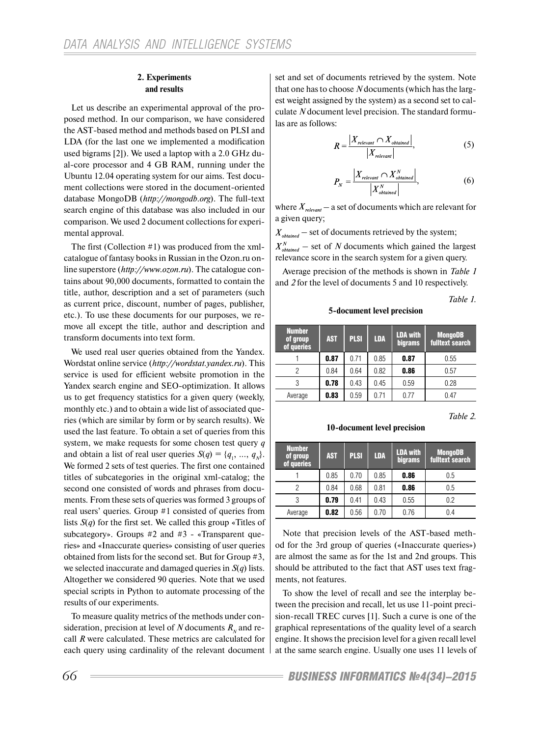#### **2. Experiments and results**

Let us describe an experimental approval of the proposed method. In our comparison, we have considered the AST-based method and methods based on PLSI and LDA (for the last one we implemented a modification used bigrams [2]). We used a laptop with a 2.0 GHz dual-core processor and 4 GB RAM, running under the Ubuntu 12.04 operating system for our aims. Test document collections were stored in the document-oriented database MongoDB (*http://mongodb.org*). The full-text search engine of this database was also included in our comparison. We used 2 document collections for experimental approval.

The first (Collection #1) was produced from the xmlcatalogue of fantasy books in Russian in the Ozon.ru online superstore (*http://www.ozon.ru*). The catalogue contains about 90,000 documents, formatted to contain the title, author, description and a set of parameters (such as current price, discount, number of pages, publisher, etc.). To use these documents for our purposes, we remove all except the title, author and description and transform documents into text form.

We used real user queries obtained from the Yandex. Wordstat online service (*http://wordstat.yandex.ru*). This service is used for efficient website promotion in the Yandex search engine and SEO-optimization. It allows us to get frequency statistics for a given query (weekly, monthly etc.) and to obtain a wide list of associated queries (which are similar by form or by search results). We used the last feature. To obtain a set of queries from this system, we make requests for some chosen test query *q* and obtain a list of real user queries  $S(q) = \{q_1, ..., q_N\}.$ We formed 2 sets of test queries. The first one contained titles of subcategories in the original xml-catalog; the second one consisted of words and phrases from documents. From these sets of queries was formed 3 groups of real users' queries. Group #1 consisted of queries from lists *S*(*q*) for the first set. We called this group «Titles of subcategory». Groups #2 and #3 - «Transparent queries» and «Inaccurate queries» consisting of user queries obtained from lists for the second set. But for Group #3, we selected inaccurate and damaged queries in *S*(*q*) lists. Altogether we considered 90 queries. Note that we used special scripts in Python to automate processing of the results of our experiments.

To measure quality metrics of the methods under consideration, precision at level of *N* documents  $R<sub>w</sub>$  and recall *R* were calculated. These metrics are calculated for each query using cardinality of the relevant document

set and set of documents retrieved by the system. Note that one has to choose *N* documents (which has the largest weight assigned by the system) as a second set to calculate *N* document level precision. The standard formulas are as follows:

$$
R = \frac{|X_{relevant} \cap X_{obtained}|}{|X_{relevant}|},
$$
 (5)

$$
P_N = \frac{\left| X_{relevant} \cap X_{obtained}^N \right|}{\left| X_{obtained}^N \right|},\tag{6}
$$

where  $X_{relevant}$  – a set of documents which are relevant for a given query;

 $X_{obtained}$  – set of documents retrieved by the system;  $X_{obtained}^N$  – set of N documents which gained the largest relevance score in the search system for a given query.

Average precision of the methods is shown in *Table 1*  and *2* for the level of documents 5 and 10 respectively.

*Table 1.* 

**5-document level precision**

| <b>Number</b><br>of group<br>of queries | <b>AST</b> | <b>PLSI</b> | <b>LDA</b> | <b>LDA with</b><br>bigrams | <b>MongoDB</b><br>fulltext search |
|-----------------------------------------|------------|-------------|------------|----------------------------|-----------------------------------|
|                                         | 0.87       | 0.71        | 0.85       | 0.87                       | 0.55                              |
| 2                                       | 0.84       | 0.64        | 0.82       | 0.86                       | 0.57                              |
| 3                                       | 0.78       | 0.43        | 0.45       | 0.59                       | 0.28                              |
| Average                                 | 0.83       | 0.59        | 0.71       | 0.77                       | 0.47                              |

*Table 2.* 

**10-document level precision**

| <b>Number</b><br>of group<br>of queries | <b>AST</b> | <b>PLSI</b> | <b>LDA</b> | <b>LDA with</b><br>bigrams | <b>MongoDB</b><br>fulltext search |
|-----------------------------------------|------------|-------------|------------|----------------------------|-----------------------------------|
|                                         | 0.85       | 0.70        | 0.85       | 0.86                       | 0.5                               |
|                                         | 0.84       | 0.68        | 0.81       | 0.86                       | 0.5                               |
|                                         | 0.79       | 0.41        | 0.43       | 0.55                       | 0.2                               |
| Average                                 | 0.82       | 0.56        | 0.70       | 0.76                       | 0.4                               |

Note that precision levels of the AST-based method for the 3rd group of queries («Inaccurate queries») are almost the same as for the 1st and 2nd groups. This should be attributed to the fact that AST uses text fragments, not features.

To show the level of recall and see the interplay between the precision and recall, let us use 11-point precision-recall TREC curves [1]. Such a curve is one of the graphical representations of the quality level of a search engine. It shows the precision level for a given recall level at the same search engine. Usually one uses 11 levels of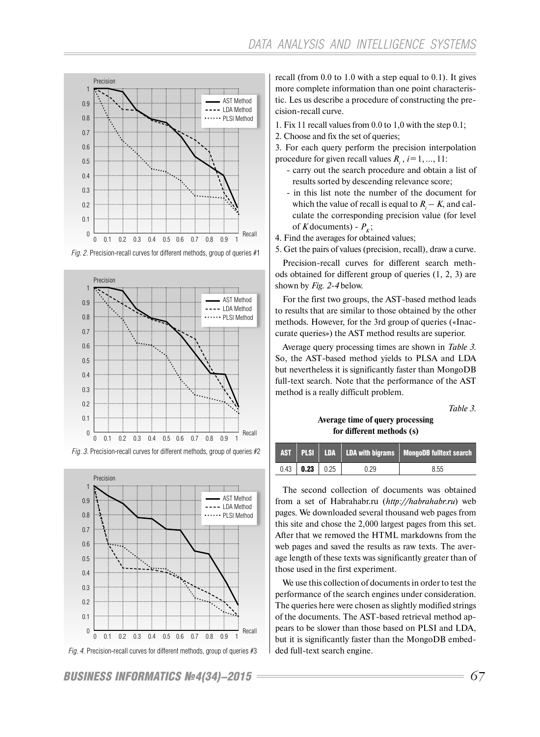

*Fig. 2*. Precision-recall curves for different methods, group of queries #1



*Fig. 3*. Precision-recall curves for different methods, group of queries #2



*Fig. 4*. Precision-recall curves for different methods, group of queries #3

*BUSINESS INFORMATICS №4(34)–2015 67*

recall (from 0.0 to 1.0 with a step equal to 0.1). It gives more complete information than one point characteristic. Les us describe a procedure of constructing the precision-recall curve.

- 1. Fix 11 recall values from 0.0 to 1,0 with the step 0.1;
- 2. Choose and fix the set of queries;
- 3. For each query perform the precision interpolation procedure for given recall values  $R_i$ ,  $i = 1, ..., 11$ :
	- carry out the search procedure and obtain a list of results sorted by descending relevance score;
	- in this list note the number of the document for which the value of recall is equal to  $R_i - K$ , and calculate the corresponding precision value (for level of *K* documents) -  $P_k$ ;
- 4. Find the averages for obtained values;
- 5. Get the pairs of values (precision, recall), draw a curve.

Precision-recall curves for different search methods obtained for different group of queries (1, 2, 3) are shown by *Fig. 2-4* below.

For the first two groups, the AST-based method leads to results that are similar to those obtained by the other methods. However, for the 3rd group of queries («Inaccurate queries») the AST method results are superior.

Average query processing times are shown in *Table 3*. So, the AST-based method yields to PLSA and LDA but nevertheless it is significantly faster than MongoDB full-text search. Note that the performance of the AST method is a really difficult problem.

*Table 3.* 

## **Average time of query processing for different methods (s)**

|                  |      | AST PLSI LDA LDA with bigrams MongoDB fulltext search |
|------------------|------|-------------------------------------------------------|
| $0.43$ 0.23 0.25 | 0.29 | 8.55                                                  |

The second collection of documents was obtained from a set of Habrahabr.ru (*http://habrahabr.ru*) web pages. We downloaded several thousand web pages from this site and chose the 2,000 largest pages from this set. After that we removed the HTML markdowns from the web pages and saved the results as raw texts. The average length of these texts was significantly greater than of those used in the first experiment.

We use this collection of documents in order to test the performance of the search engines under consideration. The queries here were chosen as slightly modified strings of the documents. The AST-based retrieval method appears to be slower than those based on PLSI and LDA, but it is significantly faster than the MongoDB embedded full-text search engine.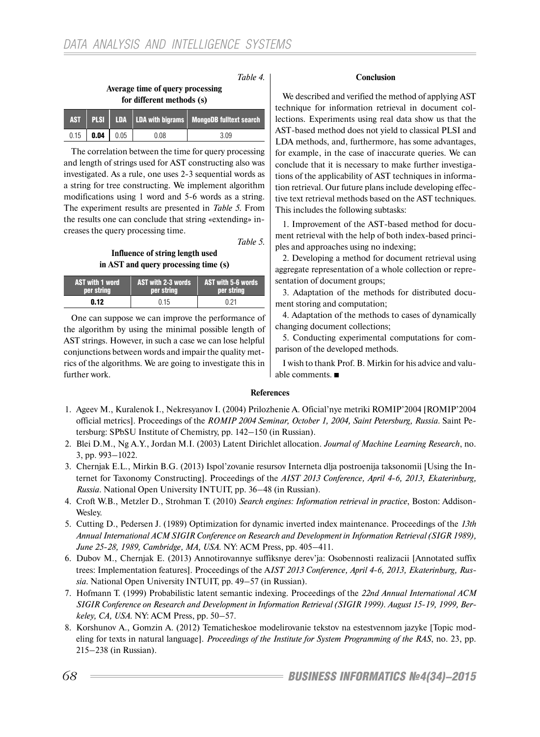| Table 4.<br>Average time of query processing<br>for different methods (s) |             |  |  |                                                    |
|---------------------------------------------------------------------------|-------------|--|--|----------------------------------------------------|
| <b>AST</b>                                                                | <b>PLSI</b> |  |  | $LDA$   LDA with bigrams   MongoDB fulltext search |

 $0.15$  | 0.04 | 0.05 | 0.08 | 3.09 The correlation between the time for query processing and length of strings used for AST constructing also was investigated. As a rule, one uses 2-3 sequential words as a string for tree constructing. We implement algorithm modifications using 1 word and 5-6 words as a string. The experiment results are presented in *Table 5*. From the results one can conclude that string «extending» increases the query processing time.

*Table 5.* 

## **Influence of string length used in AST and query processing time (s)**

| <b>AST with 1 word</b> | <b>AST with 2-3 words</b> | $^{\prime}$ AST with 5-6 words. |
|------------------------|---------------------------|---------------------------------|
| per string             | <b>per string</b>         | per string                      |
| N. 12                  | 0.15                      | O 21                            |

One can suppose we can improve the performance of the algorithm by using the minimal possible length of AST strings. However, in such a case we can lose helpful conjunctions between words and impair the quality metrics of the algorithms. We are going to investigate this in further work.

## **Conclusion**

We described and verified the method of applying AST technique for information retrieval in document collections. Experiments using real data show us that the AST-based method does not yield to classical PLSI and LDA methods, and, furthermore, has some advantages, for example, in the case of inaccurate queries. We can conclude that it is necessary to make further investigations of the applicability of AST techniques in information retrieval. Our future plans include developing effective text retrieval methods based on the AST techniques. This includes the following subtasks:

1. Improvement of the AST-based method for document retrieval with the help of both index-based principles and approaches using no indexing;

2. Developing a method for document retrieval using aggregate representation of a whole collection or representation of document groups;

3. Adaptation of the methods for distributed document storing and computation;

4. Adaptation of the methods to cases of dynamically changing document collections;

5. Conducting experimental computations for comparison of the developed methods.

I wish to thank Prof. B. Mirkin for his advice and valuable comments.

## **References**

- 1. Ageev M., Kuralenok I., Nekresyanov I. (2004) Prilozhenie A. Oficial'nye metriki ROMIP'2004 [ROMIP'2004 official metrics]. Proceedings of the *ROMIP 2004 Seminar, October 1, 2004, Saint Petersburg, Russia*. Saint Petersburg: SPbSU Institute of Chemistry, pp. 142–150 (in Russian).
- 2. Blei D.M., Ng A.Y., Jordan M.I. (2003) Latent Dirichlet allocation. *Journal of Machine Learning Research*, no. 3, pp. 993–1022.
- 3. Chernjak E.L., Mirkin B.G. (2013) Ispol'zovanie resursov Interneta dlja postroenija taksonomii [Using the Internet for Taxonomy Constructing]. Proceedings of the *AIST 2013 Conference, April 4-6, 2013, Ekaterinburg, Russia*. National Open University INTUIT, pp. 36–48 (in Russian).
- 4. Croft W.B., Metzler D., Strohman T. (2010) *Search engines: Information retrieval in practice*, Boston: Addison-Wesley.
- 5. Cutting D., Pedersen J. (1989) Optimization for dynamic inverted index maintenance. Proceedings of the *13th Annual International ACM SIGIR Conference on Research and Development in Information Retrieval (SIGR 1989), June 25-28, 1989, Cambridge, MA, USA.* NY: ACM Press, pp. 405–411.
- 6. Dubov M., Chernjak E. (2013) Annotirovannye suffiksnye derev'ja: Osobennosti realizacii [Annotated suffix trees: Implementation features]. Proceedings of the A*IST 2013 Conference, April 4-6, 2013, Ekaterinburg, Russia.* National Open University INTUIT, pp. 49–57 (in Russian).
- 7. Hofmann T. (1999) Probabilistic latent semantic indexing. Proceedings of the *22nd Annual International ACM SIGIR Conference on Research and Development in Information Retrieval (SIGIR 1999). August 15-19, 1999, Berkeley, CA, USA*. NY: ACM Press, pp. 50–57.
- 8. Korshunov A., Gomzin A. (2012) Tematicheskoe modelirovanie tekstov na estestvennom jazyke [Topic modeling for texts in natural language]. *Proceedings of the Institute for System Programming of the RAS*, no. 23, pp. 215–238 (in Russian).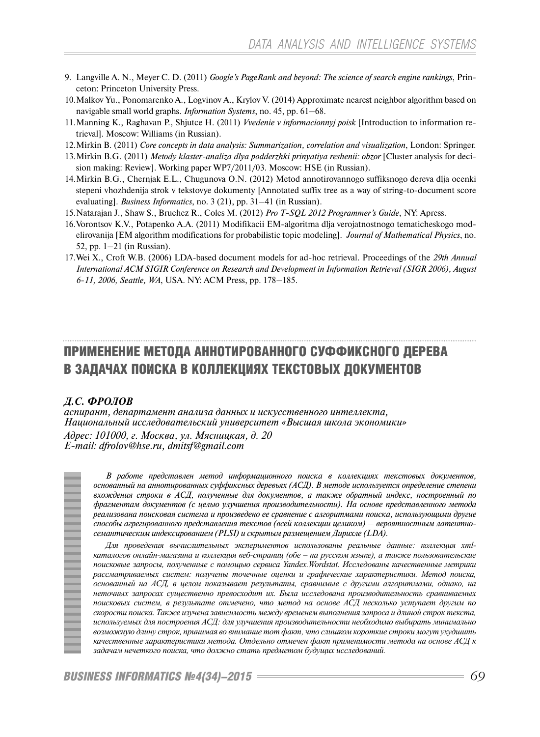- 9. Langville A. N., Meyer C. D. (2011) *Google's PageRank and beyond: The science of search engine rankings*, Princeton: Princeton University Press.
- 10. Malkov Yu., Ponomarenko A., Logvinov A., Krylov V. (2014) Approximate nearest neighbor algorithm based on navigable small world graphs. *Information Systems*, no. 45, pp. 61–68.
- 11. Manning K., Raghavan P., Shjutce H. (2011) *Vvedenie v informacionnyj poisk* [Introduction to information retrieval]. Moscow: Williams (in Russian).
- 12. Mirkin B. (2011) *Core concepts in data analysis: Summarization, correlation and visualization*, London: Springer.
- 13. Mirkin B.G. (2011) *Metody klaster-analiza dlya podderzhki prinyatiya reshenii: obzor* [Cluster analysis for decision making: Review]. Working paper WP7/2011/03. Moscow: HSE (in Russian).
- 14. Mirkin B.G., Chernjak E.L., Chugunova O.N. (2012) Metod annotirovannogo suffiksnogo dereva dlja ocenki stepeni vhozhdenija strok v tekstovye dokumenty [Annotated suffix tree as a way of string-to-document score evaluating]. *Business Informatics*, no. 3 (21), pp. 31–41 (in Russian).
- 15. Natarajan J., Shaw S., Bruchez R., Coles M. (2012) *Pro T-SQL 2012 Programmer's Guide*, NY: Apress.
- 16. Vorontsov K.V., Potapenko A.A. (2011) Modifikacii EM-algoritma dlja verojatnostnogo tematicheskogo modelirovanija [EM algorithm modifications for probabilistic topic modeling]. *Journal of Mathematical Physics*, no. 52, pp. 1–21 (in Russian).
- 17. Wei X., Croft W.B. (2006) LDA-based document models for ad-hoc retrieval. Proceedings of the *29th Annual International ACM SIGIR Conference on Research and Development in Information Retrieval (SIGR 2006), August 6-11, 2006, Seattle, WA*, USA. NY: ACM Press, pp. 178–185.

# ПРИМЕНЕНИЕ МЕТОДА АННОТИРОВАННОГО СУФФИКСНОГО ДЕРЕВА В ЗАДАЧАХ ПОИСКА В КОЛЛЕКЦИЯХ ТЕКСТОВЫХ ДОКУМЕНТОВ

## *Д.С. ФРОЛОВ*

*аспирант, департамент анализа данных и искусственного интеллекта, Национальный исследовательский университет «Высшая школа экономики» Адрес: 101000, г. Москва, ул. Мясницкая, д. 20 E-mail: dfrolov@hse.ru, dmitsf@gmail.com*



*В работе представлен метод информационного поиска в коллекциях текстовых документов, основанный на аннотированных суффиксных деревьях (АСД). В методе используется определение степени вхождения строки в АСД, полученные для документов, а также обратный индекс, построенный по фрагментам документов (с целью улучшения производительности). На основе представленного метода реализована поисковая система и произведено ее сравнение с алгоритмами поиска, использующими другие способы агрегированного представления текстов (всей коллекции целиком) – вероятностным латентносемантическим индексированием (PLSI) и скрытым размещением Дирихле (LDA).* 

*Для проведения вычислительных экспериментов использованы реальные данные: коллекция xml*каталогов онлайн-магазина и коллекция веб-страниц (обе - на русском языке), а также пользовательские *поисковые запросы, полученные с помощью сервиса Yandex.Wordstat. Исследованы качественные метрики рассматриваемых систем: получены точечные оценки и графические характеристики. Метод поиска, основанный на АСД, в целом показывает результаты, сравнимые с другими алгоритмами, однако, на неточных запросах существенно превосходит их. Была исследована производительность сравниваемых поисковых систем, в результате отмечено, что метод на основе АСД несколько уступает другим по скорости поиска. Также изучена зависимость между временем выполнения запроса и длиной строк текста, используемых для построения АСД: для улучшения производительности необходимо выбирать минимально возможную длину строк, принимая во внимание тот факт, что слишком короткие строки могут ухудшить качественные характеристики метода. Отдельно отмечен факт применимости метода на основе АСД к задачам нечеткого поиска, что должно стать предметом будущих исследований.*

*BUSINESS INFORMATICS №4(34)–2015 69*